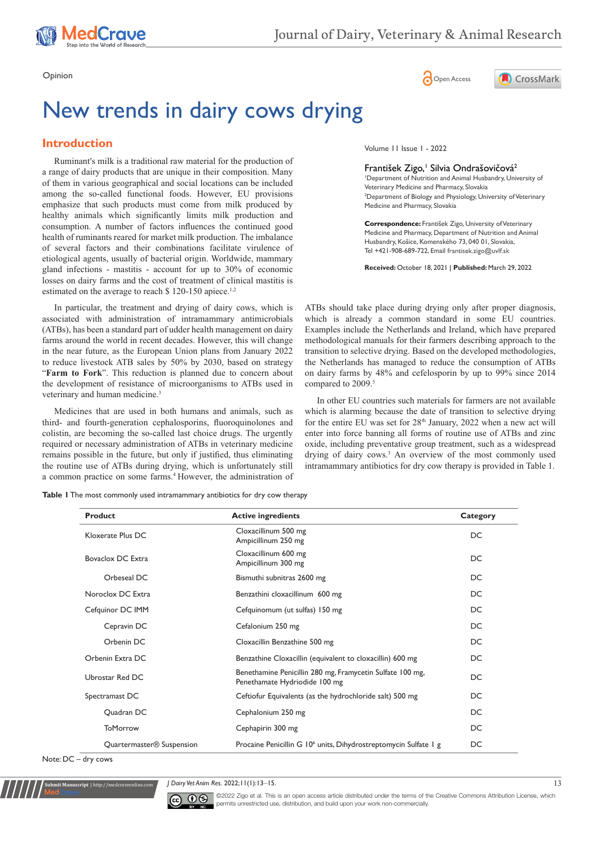





# New trends in dairy cows drying

## **Introduction**

Ruminant′s milk is a traditional raw material for the production of a range of dairy products that are unique in their composition. Many of them in various geographical and social locations can be included among the so-called functional foods. However, EU provisions emphasize that such products must come from milk produced by healthy animals which significantly limits milk production and consumption. A number of factors influences the continued good health of ruminants reared for market milk production. The imbalance of several factors and their combinations facilitate virulence of etiological agents, usually of bacterial origin. Worldwide, mammary gland infections - mastitis - account for up to 30% of economic losses on dairy farms and the cost of treatment of clinical mastitis is estimated on the average to reach \$ 120-150 apiece.<sup>1,2</sup>

In particular, the treatment and drying of dairy cows, which is associated with administration of intramammary antimicrobials (ATBs), has been a standard part of udder health management on dairy farms around the world in recent decades. However, this will change in the near future, as the European Union plans from January 2022 to reduce livestock ATB sales by 50% by 2030, based on strategy "**Farm to Fork**". This reduction is planned due to concern about the development of resistance of microorganisms to ATBs used in veterinary and human medicine.<sup>3</sup>

Medicines that are used in both humans and animals, such as third- and fourth-generation cephalosporins, fluoroquinolones and colistin, are becoming the so-called last choice drugs. The urgently required or necessary administration of ATBs in veterinary medicine remains possible in the future, but only if justified, thus eliminating the routine use of ATBs during drying, which is unfortunately still a common practice on some farms.4 However, the administration of

**Table 1** The most commonly used intramammary antibiotics for dry cow therapy

Volume 11 Issue 1 - 2022

#### František Zigo,<sup>1</sup> Silvia Ondrašovičová<sup>2</sup>

1 Department of Nutrition and Animal Husbandry, University of Veterinary Medicine and Pharmacy, Slovakia <sup>2</sup> Department of Biology and Physiology, University of Veterinary Medicine and Pharmacy, Slovakia

**Correspondence:** František Zigo, University of Veterinary Medicine and Pharmacy, Department of Nutrition and Animal Husbandry, Košice, Komenského 73, 040 01, Slovakia, Tel +421-908-689-722, Email frantisek.zigo@uvlf.sk

**Received:** October 18, 2021 | **Published:** March 29, 2022

ATBs should take place during drying only after proper diagnosis, which is already a common standard in some EU countries. Examples include the Netherlands and Ireland, which have prepared methodological manuals for their farmers describing approach to the transition to selective drying. Based on the developed methodologies, the Netherlands has managed to reduce the consumption of ATBs on dairy farms by 48% and cefelosporin by up to 99% since 2014 compared to 2009.<sup>5</sup>

In other EU countries such materials for farmers are not available which is alarming because the date of transition to selective drying for the entire EU was set for 28<sup>th</sup> January, 2022 when a new act will enter into force banning all forms of routine use of ATBs and zinc oxide, including preventative group treatment, such as a widespread drying of dairy cows.3 An overview of the most commonly used intramammary antibiotics for dry cow therapy is provided in Table 1.

| <b>Product</b>                        | <b>Active ingredients</b>                                                                  | Category |
|---------------------------------------|--------------------------------------------------------------------------------------------|----------|
| Kloxerate Plus DC                     | Cloxacillinum 500 mg<br>Ampicillinum 250 mg                                                | DC       |
| Bovaclox DC Extra                     | Cloxacillinum 600 mg<br>Ampicillinum 300 mg                                                | DC       |
| Orbeseal DC                           | Bismuthi subnitras 2600 mg                                                                 | DC       |
| Noroclox DC Extra                     | Benzathini cloxacillinum 600 mg                                                            | DC       |
| Cefquinor DC IMM                      | Cefquinomum (ut sulfas) 150 mg                                                             | DC       |
| Cepravin DC                           | Cefalonium 250 mg                                                                          | DC       |
| Orbenin DC                            | Cloxacillin Benzathine 500 mg                                                              | DC.      |
| Orbenin Extra DC                      | Benzathine Cloxacillin (equivalent to cloxacillin) 600 mg                                  | DC       |
| Ubrostar Red DC                       | Benethamine Penicillin 280 mg, Framycetin Sulfate 100 mg,<br>Penethamate Hydriodide 100 mg | DC       |
| Spectramast DC                        | Ceftiofur Equivalents (as the hydrochloride salt) 500 mg                                   | DC       |
| Quadran DC                            | Cephalonium 250 mg                                                                         | DC       |
| <b>ToMorrow</b>                       | Cephapirin 300 mg                                                                          | DC       |
| Quartermaster <sup>®</sup> Suspension | Procaine Penicillin G 10 <sup>6</sup> units, Dihydrostreptomycin Sulfate 1 g               | DC       |

Note: DC – dry cows

**Submit Manuscript** | http://medcraveonline.com

*J Dairy Vet Anim Res.* 2022;11(1):13‒15. 13



©2022 Zigo et al. This is an open access article distributed under the terms of the [Creative Commons Attribution License](https://creativecommons.org/licenses/by-nc/4.0/), which permits unrestricted use, distribution, and build upon your work non-commercially.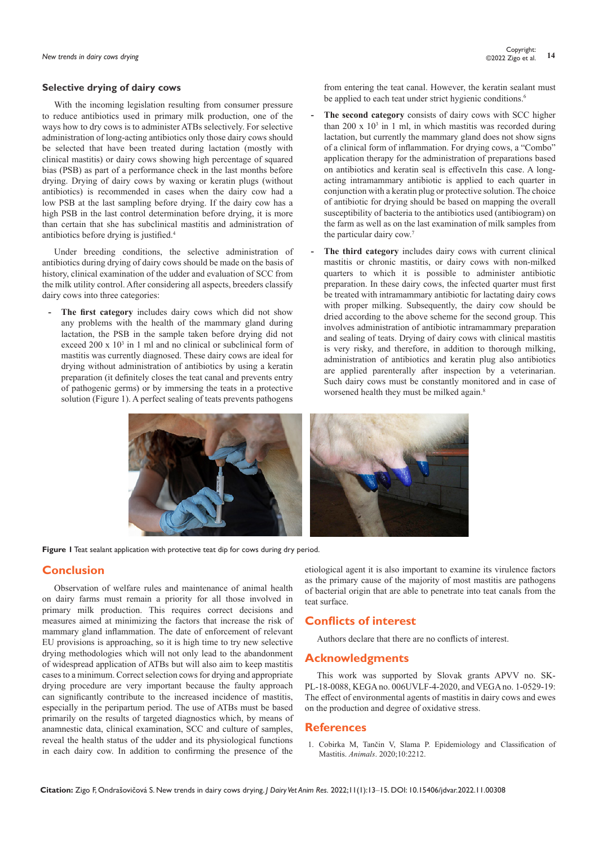## **Selective drying of dairy cows**

With the incoming legislation resulting from consumer pressure to reduce antibiotics used in primary milk production, one of the ways how to dry cows is to administer ATBs selectively. For selective administration of long-acting antibiotics only those dairy cows should be selected that have been treated during lactation (mostly with clinical mastitis) or dairy cows showing high percentage of squared bias (PSB) as part of a performance check in the last months before drying. Drying of dairy cows by waxing or keratin plugs (without antibiotics) is recommended in cases when the dairy cow had a low PSB at the last sampling before drying. If the dairy cow has a high PSB in the last control determination before drying, it is more than certain that she has subclinical mastitis and administration of antibiotics before drying is justified.<sup>4</sup>

Under breeding conditions, the selective administration of antibiotics during drying of dairy cows should be made on the basis of history, clinical examination of the udder and evaluation of SCC from the milk utility control. After considering all aspects, breeders classify dairy cows into three categories:

The first category includes dairy cows which did not show any problems with the health of the mammary gland during lactation, the PSB in the sample taken before drying did not exceed 200 x 10<sup>3</sup> in 1 ml and no clinical or subclinical form of mastitis was currently diagnosed. These dairy cows are ideal for drying without administration of antibiotics by using a keratin preparation (it definitely closes the teat canal and prevents entry of pathogenic germs) or by immersing the teats in a protective solution (Figure 1). A perfect sealing of teats prevents pathogens from entering the teat canal. However, the keratin sealant must be applied to each teat under strict hygienic conditions.<sup>6</sup>

- **- The second category** consists of dairy cows with SCC higher than  $200 \times 10^3$  in 1 ml, in which mastitis was recorded during lactation, but currently the mammary gland does not show signs of a clinical form of inflammation. For drying cows, a "Combo" application therapy for the administration of preparations based on antibiotics and keratin seal is effectiveIn this case. A longacting intramammary antibiotic is applied to each quarter in conjunction with a keratin plug or protective solution. The choice of antibiotic for drying should be based on mapping the overall susceptibility of bacteria to the antibiotics used (antibiogram) on the farm as well as on the last examination of milk samples from the particular dairy cow.<sup>7</sup>
- **- The third category** includes dairy cows with current clinical mastitis or chronic mastitis, or dairy cows with non-milked quarters to which it is possible to administer antibiotic preparation. In these dairy cows, the infected quarter must first be treated with intramammary antibiotic for lactating dairy cows with proper milking. Subsequently, the dairy cow should be dried according to the above scheme for the second group. This involves administration of antibiotic intramammary preparation and sealing of teats. Drying of dairy cows with clinical mastitis is very risky, and therefore, in addition to thorough milking, administration of antibiotics and keratin plug also antibiotics are applied parenterally after inspection by a veterinarian. Such dairy cows must be constantly monitored and in case of worsened health they must be milked again.<sup>8</sup>



**Figure 1** Teat sealant application with protective teat dip for cows during dry period.

## **Conclusion**

Observation of welfare rules and maintenance of animal health on dairy farms must remain a priority for all those involved in primary milk production. This requires correct decisions and measures aimed at minimizing the factors that increase the risk of mammary gland inflammation. The date of enforcement of relevant EU provisions is approaching, so it is high time to try new selective drying methodologies which will not only lead to the abandonment of widespread application of ATBs but will also aim to keep mastitis cases to a minimum. Correct selection cows for drying and appropriate drying procedure are very important because the faulty approach can significantly contribute to the increased incidence of mastitis, especially in the peripartum period. The use of ATBs must be based primarily on the results of targeted diagnostics which, by means of anamnestic data, clinical examination, SCC and culture of samples, reveal the health status of the udder and its physiological functions in each dairy cow. In addition to confirming the presence of the

etiological agent it is also important to examine its virulence factors as the primary cause of the majority of most mastitis are pathogens of bacterial origin that are able to penetrate into teat canals from the teat surface.

## **Conflicts of interest**

Authors declare that there are no conflicts of interest.

#### **Acknowledgments**

This work was supported by Slovak grants APVV no. SK‐ PL‐18‐0088, KEGA no. 006UVLF‐4‐2020, and VEGA no. 1‐0529‐19: The effect of environmental agents of mastitis in dairy cows and ewes on the production and degree of oxidative stress.

#### **References**

1. [Cobirka M, Tančin V, Slama P. Epidemiology and Classification of](https://pubmed.ncbi.nlm.nih.gov/33255907/)  Mastitis. *Animals*[. 2020;10:2212.](https://pubmed.ncbi.nlm.nih.gov/33255907/)